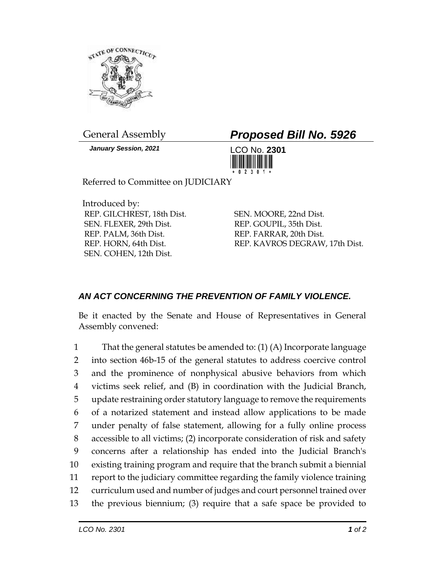

*January Session, 2021* LCO No. **2301**

## General Assembly *Proposed Bill No. 5926*



Referred to Committee on JUDICIARY

Introduced by: REP. GILCHREST, 18th Dist. SEN. FLEXER, 29th Dist. REP. PALM, 36th Dist. REP. HORN, 64th Dist. SEN. COHEN, 12th Dist.

SEN. MOORE, 22nd Dist. REP. GOUPIL, 35th Dist. REP. FARRAR, 20th Dist. REP. KAVROS DEGRAW, 17th Dist.

## *AN ACT CONCERNING THE PREVENTION OF FAMILY VIOLENCE.*

Be it enacted by the Senate and House of Representatives in General Assembly convened:

 That the general statutes be amended to: (1) (A) Incorporate language into section 46b-15 of the general statutes to address coercive control and the prominence of nonphysical abusive behaviors from which victims seek relief, and (B) in coordination with the Judicial Branch, update restraining order statutory language to remove the requirements of a notarized statement and instead allow applications to be made under penalty of false statement, allowing for a fully online process accessible to all victims; (2) incorporate consideration of risk and safety concerns after a relationship has ended into the Judicial Branch's existing training program and require that the branch submit a biennial report to the judiciary committee regarding the family violence training curriculum used and number of judges and court personnel trained over the previous biennium; (3) require that a safe space be provided to